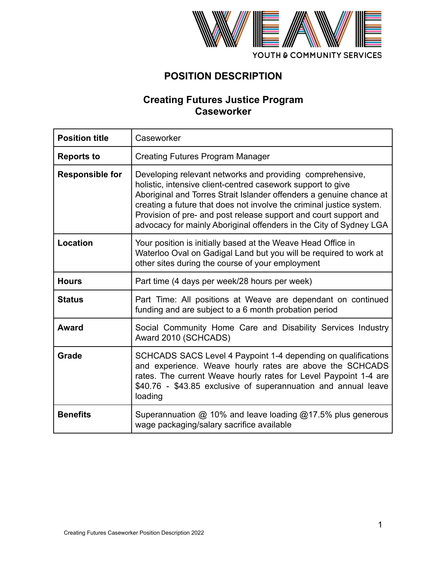

# **POSITION DESCRIPTION**

# **Creating Futures Justice Program Caseworker**

| <b>Position title</b>  | Caseworker                                                                                                                                                                                                                                                                                                                                                                                                        |
|------------------------|-------------------------------------------------------------------------------------------------------------------------------------------------------------------------------------------------------------------------------------------------------------------------------------------------------------------------------------------------------------------------------------------------------------------|
| <b>Reports to</b>      | <b>Creating Futures Program Manager</b>                                                                                                                                                                                                                                                                                                                                                                           |
| <b>Responsible for</b> | Developing relevant networks and providing comprehensive,<br>holistic, intensive client-centred casework support to give<br>Aboriginal and Torres Strait Islander offenders a genuine chance at<br>creating a future that does not involve the criminal justice system.<br>Provision of pre- and post release support and court support and<br>advocacy for mainly Aboriginal offenders in the City of Sydney LGA |
| Location               | Your position is initially based at the Weave Head Office in<br>Waterloo Oval on Gadigal Land but you will be required to work at<br>other sites during the course of your employment                                                                                                                                                                                                                             |
| <b>Hours</b>           | Part time (4 days per week/28 hours per week)                                                                                                                                                                                                                                                                                                                                                                     |
| <b>Status</b>          | Part Time: All positions at Weave are dependant on continued<br>funding and are subject to a 6 month probation period                                                                                                                                                                                                                                                                                             |
| <b>Award</b>           | Social Community Home Care and Disability Services Industry<br>Award 2010 (SCHCADS)                                                                                                                                                                                                                                                                                                                               |
| Grade                  | SCHCADS SACS Level 4 Paypoint 1-4 depending on qualifications<br>and experience. Weave hourly rates are above the SCHCADS<br>rates. The current Weave hourly rates for Level Paypoint 1-4 are<br>\$40.76 - \$43.85 exclusive of superannuation and annual leave<br>loading                                                                                                                                        |
| <b>Benefits</b>        | Superannuation @ 10% and leave loading @17.5% plus generous<br>wage packaging/salary sacrifice available                                                                                                                                                                                                                                                                                                          |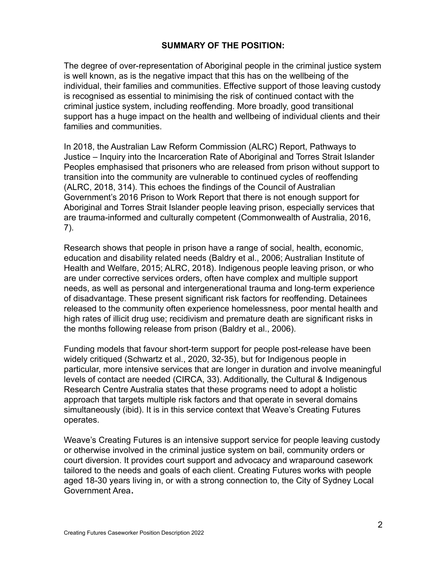#### **SUMMARY OF THE POSITION:**

The degree of over-representation of Aboriginal people in the criminal justice system is well known, as is the negative impact that this has on the wellbeing of the individual, their families and communities. Effective support of those leaving custody is recognised as essential to minimising the risk of continued contact with the criminal justice system, including reoffending. More broadly, good transitional support has a huge impact on the health and wellbeing of individual clients and their families and communities.

In 2018, the Australian Law Reform Commission (ALRC) Report, Pathways to Justice – Inquiry into the Incarceration Rate of Aboriginal and Torres Strait Islander Peoples emphasised that prisoners who are released from prison without support to transition into the community are vulnerable to continued cycles of reoffending (ALRC, 2018, 314). This echoes the findings of the Council of Australian Government's 2016 Prison to Work Report that there is not enough support for Aboriginal and Torres Strait Islander people leaving prison, especially services that are trauma-informed and culturally competent (Commonwealth of Australia, 2016, 7).

Research shows that people in prison have a range of social, health, economic, education and disability related needs (Baldry et al., 2006; Australian Institute of Health and Welfare, 2015; ALRC, 2018). Indigenous people leaving prison, or who are under corrective services orders, often have complex and multiple support needs, as well as personal and intergenerational trauma and long-term experience of disadvantage. These present significant risk factors for reoffending. Detainees released to the community often experience homelessness, poor mental health and high rates of illicit drug use; recidivism and premature death are significant risks in the months following release from prison (Baldry et al., 2006).

Funding models that favour short-term support for people post-release have been widely critiqued (Schwartz et al., 2020, 32-35), but for Indigenous people in particular, more intensive services that are longer in duration and involve meaningful levels of contact are needed (CIRCA, 33). Additionally, the Cultural & Indigenous Research Centre Australia states that these programs need to adopt a holistic approach that targets multiple risk factors and that operate in several domains simultaneously (ibid). It is in this service context that Weave's Creating Futures operates.

Weave's Creating Futures is an intensive support service for people leaving custody or otherwise involved in the criminal justice system on bail, community orders or court diversion. It provides court support and advocacy and wraparound casework tailored to the needs and goals of each client. Creating Futures works with people aged 18-30 years living in, or with a strong connection to, the City of Sydney Local Government Area**.**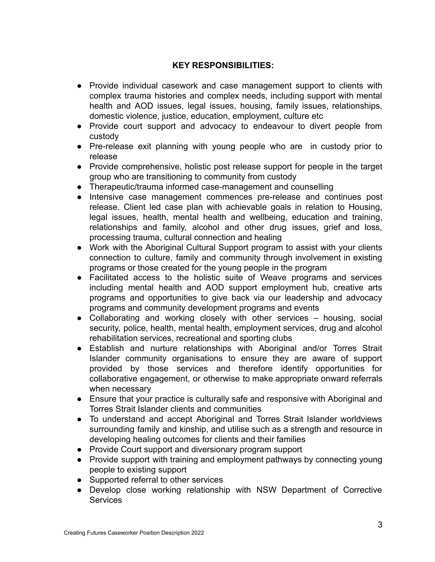#### **KEY RESPONSIBILITIES:**

- Provide individual casework and case management support to clients with complex trauma histories and complex needs, including support with mental health and AOD issues, legal issues, housing, family issues, relationships, domestic violence, justice, education, employment, culture etc
- Provide court support and advocacy to endeavour to divert people from custody
- Pre-release exit planning with young people who are in custody prior to release
- Provide comprehensive, holistic post release support for people in the target group who are transitioning to community from custody
- Therapeutic/trauma informed case-management and counselling
- Intensive case management commences pre-release and continues post release. Client led case plan with achievable goals in relation to Housing, legal issues, health, mental health and wellbeing, education and training, relationships and family, alcohol and other drug issues, grief and loss, processing trauma, cultural connection and healing
- Work with the Aboriginal Cultural Support program to assist with your clients connection to culture, family and community through involvement in existing programs or those created for the young people in the program
- Facilitated access to the holistic suite of Weave programs and services including mental health and AOD support employment hub, creative arts programs and opportunities to give back via our leadership and advocacy programs and community development programs and events
- Collaborating and working closely with other services housing, social security, police, health, mental health, employment services, drug and alcohol rehabilitation services, recreational and sporting clubs
- Establish and nurture relationships with Aboriginal and/or Torres Strait Islander community organisations to ensure they are aware of support provided by those services and therefore identify opportunities for collaborative engagement, or otherwise to make appropriate onward referrals when necessary
- Ensure that your practice is culturally safe and responsive with Aboriginal and Torres Strait Islander clients and communities
- To understand and accept Aboriginal and Torres Strait Islander worldviews surrounding family and kinship, and utilise such as a strength and resource in developing healing outcomes for clients and their families
- Provide Court support and diversionary program support
- Provide support with training and employment pathways by connecting young people to existing support
- Supported referral to other services
- Develop close working relationship with NSW Department of Corrective **Services**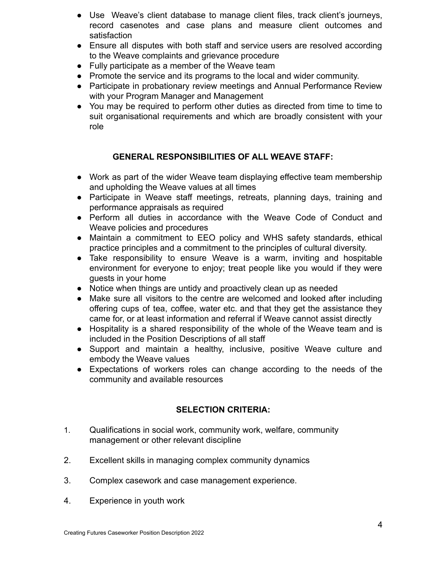- Use Weave's client database to manage client files, track client's journeys, record casenotes and case plans and measure client outcomes and satisfaction
- Ensure all disputes with both staff and service users are resolved according to the Weave complaints and grievance procedure
- Fully participate as a member of the Weave team
- Promote the service and its programs to the local and wider community.
- Participate in probationary review meetings and Annual Performance Review with your Program Manager and Management
- You may be required to perform other duties as directed from time to time to suit organisational requirements and which are broadly consistent with your role

## **GENERAL RESPONSIBILITIES OF ALL WEAVE STAFF:**

- Work as part of the wider Weave team displaying effective team membership and upholding the Weave values at all times
- Participate in Weave staff meetings, retreats, planning days, training and performance appraisals as required
- Perform all duties in accordance with the Weave Code of Conduct and Weave policies and procedures
- Maintain a commitment to EEO policy and WHS safety standards, ethical practice principles and a commitment to the principles of cultural diversity.
- Take responsibility to ensure Weave is a warm, inviting and hospitable environment for everyone to enjoy; treat people like you would if they were guests in your home
- Notice when things are untidy and proactively clean up as needed
- Make sure all visitors to the centre are welcomed and looked after including offering cups of tea, coffee, water etc. and that they get the assistance they came for, or at least information and referral if Weave cannot assist directly
- Hospitality is a shared responsibility of the whole of the Weave team and is included in the Position Descriptions of all staff
- Support and maintain a healthy, inclusive, positive Weave culture and embody the Weave values
- Expectations of workers roles can change according to the needs of the community and available resources

## **SELECTION CRITERIA:**

- 1. Qualifications in social work, community work, welfare, community management or other relevant discipline
- 2. Excellent skills in managing complex community dynamics
- 3. Complex casework and case management experience.
- 4. Experience in youth work